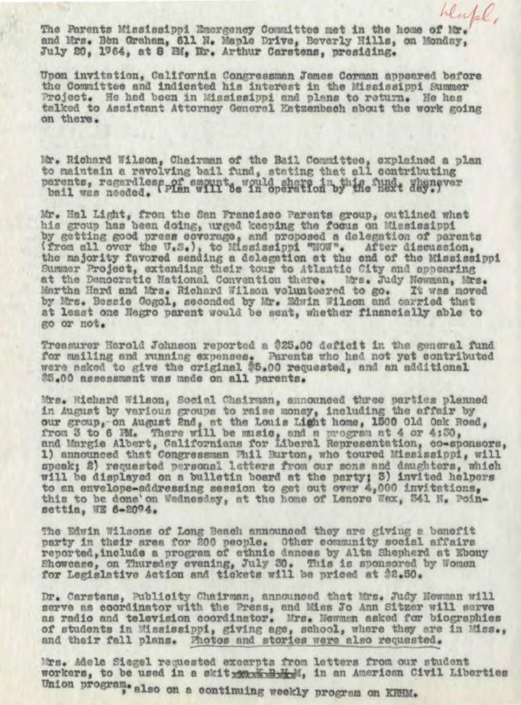The Parents Mississippi Emergency Committee met in the home of and Mrs. Ben Graham, 611 N. Maple Drive, Beverly Hills, on Monday, July 20, 1964, at 8 RM, Er. Arthur Carstens, presiding.

hlylal.

Upon invitation, California Congressman James Corman appeared before the Committee and indicated his interest in the Mississippi Summer Project. He had been in Mississippi and plans to return. He has talked to Assistant Attorney General Katzenbach about the work going on there.

Mr. Richard Wilson, Chairman of the Bail Committee, explained a plan to maintain a revolving bail fund, stating that all contributing perents, regardlesspor amounts would share in the mait degrees

Mr. Hal Light, from the San Francisco Parents group, outlined what his group has been doing, urged keeping the focus on Mississippi by getting good press coverage, and proposed a delegation of parents (from all over the U.S.), to Mississippi "NOW". After discussion, the majority favored sending a delegation at the end of the Mississippi Summer Project, extending their tour to Atlantic City and appearing at the Democratic National Convention there. Mrs. Judy Newman, Mrs. Martha Hard and Mrs. Richard Wilson volunteered to go. It was moved by Mrs. Bessie Gogol, seconded by Mr. Edwin Wilson and carried that at least one Negro parent would be sent, whether financially able to go or not.

Treasurer Harold Johnson reported a \$25.00 deficit in the general fund for mailing and running expenses. Parents who had not yet contributed were asked to give the original \$5.00 requested, and an additional 25.00 assessment was made on all parents.

Mrs. Richard Wilson, Social Chairman, announced three parties planned in August by various groups to raise money, including the affair by our group, on August 2nd, at the Louis Light home, 1500 Old Oak Road, from 3 to 6 PM. There will be music, and a program at 4 or 4:30, and Margie Albert, Californians for Liberal Representation, co-sponsors, 1) announced that Congressman Fhil Burton, who toured Mississippi, will speak; 2) requested personal letters from our sons and daughters, which will be displayed on a bulletin board at the party; 3) invited helpers to an envelope-addressing session to get out over 4,000 invitations, this to be done'on Wednesday, at the home of Lenore Wax, 541 N. Poinsettia, WE 6-2094.

The Edwin Wilsons of Long Beach announced they are giving a benefit party in their area for 200 people. Other community social affairs reported, include a program of ethnic dances by Alta Shepherd at Ebony Showcase, on Thursday evening, July 30. This is sponsored by Women for Legislative Action and tickets will be priced at \$2.50.

Dr. Carstens, Publicity Chairman, announced that Mrs. Judy Newman will serve as coordinator with the Press, and Miss Jo Ann Sitzer will serve as radio and television coordinator. Mrs. Newman asked for biographies of students in Mississippi, giving age, school, where they are in Miss., and their fall plans. Photos and stories were also requested.

Mrs. Adele Siegel requested execrpts from letters from our student workers, to be used in a skit servented, in an American Civil Liberties Union program. also on a continuing weekly program on KRHM.